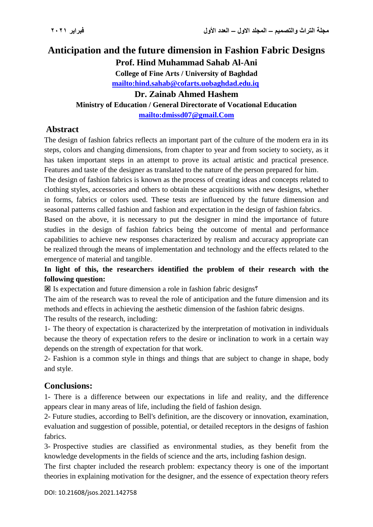# **Anticipation and the future dimension in Fashion Fabric Designs Prof. Hind Muhammad Sahab Al-Ani College of Fine Arts / University of Baghdad**

**<mailto:hind.sahab@cofarts.uobaghdad.edu.iq>**

#### **Dr. Zainab Ahmed Hashem**

**Ministry of Education / General Directorate of Vocational Education**

**<mailto:dmissd07@gmail.Com>**

### **Abstract**

The design of fashion fabrics reflects an important part of the culture of the modern era in its steps, colors and changing dimensions, from chapter to year and from society to society, as it has taken important steps in an attempt to prove its actual artistic and practical presence. Features and taste of the designer as translated to the nature of the person prepared for him.

The design of fashion fabrics is known as the process of creating ideas and concepts related to clothing styles, accessories and others to obtain these acquisitions with new designs, whether in forms, fabrics or colors used. These tests are influenced by the future dimension and seasonal patterns called fashion and fashion and expectation in the design of fashion fabrics.

Based on the above, it is necessary to put the designer in mind the importance of future studies in the design of fashion fabrics being the outcome of mental and performance capabilities to achieve new responses characterized by realism and accuracy appropriate can be realized through the means of implementation and technology and the effects related to the emergence of material and tangible.

### **In light of this, the researchers identified the problem of their research with the following question:**

Is expectation and future dimension a role in fashion fabric designs?

The aim of the research was to reveal the role of anticipation and the future dimension and its methods and effects in achieving the aesthetic dimension of the fashion fabric designs.

The results of the research, including:

1- The theory of expectation is characterized by the interpretation of motivation in individuals because the theory of expectation refers to the desire or inclination to work in a certain way depends on the strength of expectation for that work.

2- Fashion is a common style in things and things that are subject to change in shape, body and style.

### **Conclusions:**

1- There is a difference between our expectations in life and reality, and the difference appears clear in many areas of life, including the field of fashion design.

2- Future studies, according to Bell's definition, are the discovery or innovation, examination, evaluation and suggestion of possible, potential, or detailed receptors in the designs of fashion fabrics.

3- Prospective studies are classified as environmental studies, as they benefit from the knowledge developments in the fields of science and the arts, including fashion design.

The first chapter included the research problem: expectancy theory is one of the important theories in explaining motivation for the designer, and the essence of expectation theory refers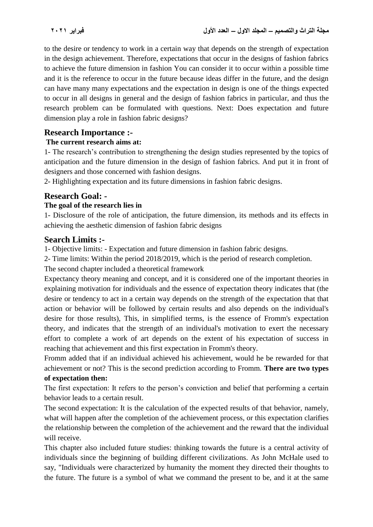to the desire or tendency to work in a certain way that depends on the strength of expectation in the design achievement. Therefore, expectations that occur in the designs of fashion fabrics to achieve the future dimension in fashion You can consider it to occur within a possible time and it is the reference to occur in the future because ideas differ in the future, and the design can have many many expectations and the expectation in design is one of the things expected to occur in all designs in general and the design of fashion fabrics in particular, and thus the research problem can be formulated with questions. Next: Does expectation and future dimension play a role in fashion fabric designs?

### **Research Importance :-**

#### **The current research aims at:**

1- The research's contribution to strengthening the design studies represented by the topics of anticipation and the future dimension in the design of fashion fabrics. And put it in front of designers and those concerned with fashion designs.

2- Highlighting expectation and its future dimensions in fashion fabric designs.

### **Research Goal: -**

#### **The goal of the research lies in**

1- Disclosure of the role of anticipation, the future dimension, its methods and its effects in achieving the aesthetic dimension of fashion fabric designs

#### **Search Limits :-**

1- Objective limits: - Expectation and future dimension in fashion fabric designs.

2- Time limits: Within the period 2018/2019, which is the period of research completion.

The second chapter included a theoretical framework

Expectancy theory meaning and concept, and it is considered one of the important theories in explaining motivation for individuals and the essence of expectation theory indicates that (the desire or tendency to act in a certain way depends on the strength of the expectation that that action or behavior will be followed by certain results and also depends on the individual's desire for those results), This, in simplified terms, is the essence of Fromm's expectation theory, and indicates that the strength of an individual's motivation to exert the necessary effort to complete a work of art depends on the extent of his expectation of success in reaching that achievement and this first expectation in Fromm's theory.

Fromm added that if an individual achieved his achievement, would he be rewarded for that achievement or not? This is the second prediction according to Fromm. **There are two types of expectation then:**

The first expectation: It refers to the person's conviction and belief that performing a certain behavior leads to a certain result.

The second expectation: It is the calculation of the expected results of that behavior, namely, what will happen after the completion of the achievement process, or this expectation clarifies the relationship between the completion of the achievement and the reward that the individual will receive.

This chapter also included future studies: thinking towards the future is a central activity of individuals since the beginning of building different civilizations. As John McHale used to say, "Individuals were characterized by humanity the moment they directed their thoughts to the future. The future is a symbol of what we command the present to be, and it at the same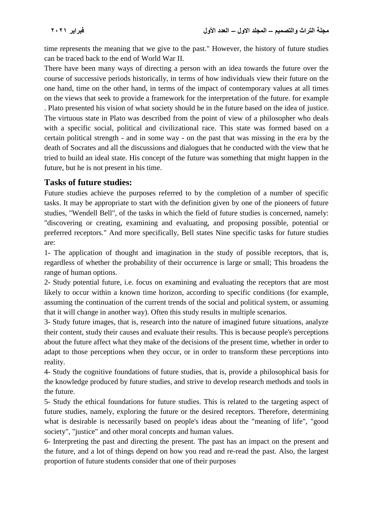time represents the meaning that we give to the past." However, the history of future studies can be traced back to the end of World War II.

There have been many ways of directing a person with an idea towards the future over the course of successive periods historically, in terms of how individuals view their future on the one hand, time on the other hand, in terms of the impact of contemporary values at all times on the views that seek to provide a framework for the interpretation of the future. for example . Plato presented his vision of what society should be in the future based on the idea of justice. The virtuous state in Plato was described from the point of view of a philosopher who deals with a specific social, political and civilizational race. This state was formed based on a certain political strength - and in some way - on the past that was missing in the era by the death of Socrates and all the discussions and dialogues that he conducted with the view that he tried to build an ideal state. His concept of the future was something that might happen in the future, but he is not present in his time.

## **Tasks of future studies:**

Future studies achieve the purposes referred to by the completion of a number of specific tasks. It may be appropriate to start with the definition given by one of the pioneers of future studies, "Wendell Bell", of the tasks in which the field of future studies is concerned, namely: "discovering or creating, examining and evaluating, and proposing possible, potential or preferred receptors." And more specifically, Bell states Nine specific tasks for future studies are:

1- The application of thought and imagination in the study of possible receptors, that is, regardless of whether the probability of their occurrence is large or small; This broadens the range of human options.

2- Study potential future, i.e. focus on examining and evaluating the receptors that are most likely to occur within a known time horizon, according to specific conditions (for example, assuming the continuation of the current trends of the social and political system, or assuming that it will change in another way). Often this study results in multiple scenarios.

3- Study future images, that is, research into the nature of imagined future situations, analyze their content, study their causes and evaluate their results. This is because people's perceptions about the future affect what they make of the decisions of the present time, whether in order to adapt to those perceptions when they occur, or in order to transform these perceptions into reality.

4- Study the cognitive foundations of future studies, that is, provide a philosophical basis for the knowledge produced by future studies, and strive to develop research methods and tools in the future.

5- Study the ethical foundations for future studies. This is related to the targeting aspect of future studies, namely, exploring the future or the desired receptors. Therefore, determining what is desirable is necessarily based on people's ideas about the "meaning of life", "good society", "justice" and other moral concepts and human values.

6- Interpreting the past and directing the present. The past has an impact on the present and the future, and a lot of things depend on how you read and re-read the past. Also, the largest proportion of future students consider that one of their purposes